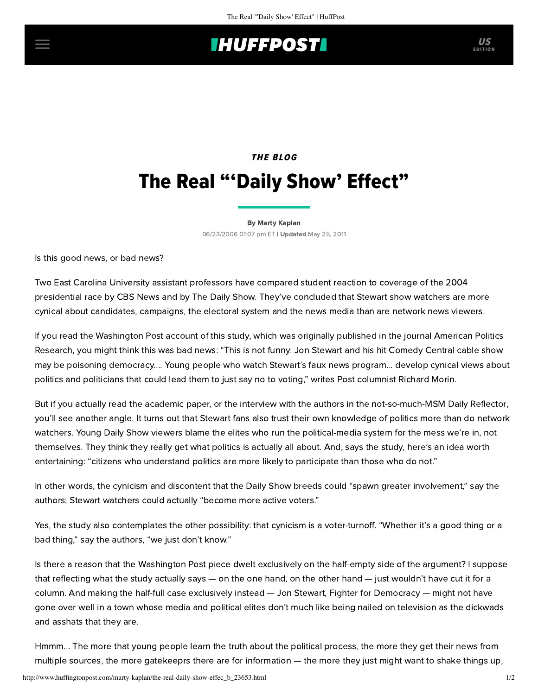## **IHUFFPOSTI** US

## THE BLOG The Real "'Daily Show' Effect"

[By Marty Kaplan](http://www.huffingtonpost.com/author/marty-kaplan) 06/23/2006 01:07 pm ET | Updated May 25, 2011

Is this good news, or bad news?

Two East Carolina University assistant professors have compared student reaction to coverage of the 2004 presidential race by CBS News and by The Daily Show. They've concluded that Stewart show watchers are more cynical about candidates, campaigns, the electoral system and the news media than are network news viewers.

If you read the [Washington Post account](http://www.washingtonpost.com/wp-dyn/content/article/2006/06/22/AR2006062201474.html) of this study, which was originally published in the journal American Politics [Research, you might think this was bad news: "This is not funny: Jon Stewart and his hit Comedy Central cable show](http://apr.sagepub.com/cgi/reprint/34/3/341) may be poisoning democracy.... Young people who watch Stewart's faux news program... develop cynical views about politics and politicians that could lead them to just say no to voting," writes Post columnist Richard Morin.

But if you actually read the academic paper, or the interview with the authors in the not-so-much-MSM [Daily Reflector,](http://www.reflector.com/local/content/news/stories/2006/05/29/5_30_06__daily_show.html) you'll see another angle. It turns out that Stewart fans also trust their own knowledge of politics more than do network watchers. Young Daily Show viewers blame the elites who run the political-media system for the mess we're in, not themselves. They think they really get what politics is actually all about. And, says the study, here's an idea worth entertaining: "citizens who understand politics are more likely to participate than those who do not."

In other words, the cynicism and discontent that the Daily Show breeds could "spawn greater involvement," say the authors; Stewart watchers could actually "become more active voters."

Yes, the study also contemplates the other possibility: that cynicism is a voter-turnoff. "Whether it's a good thing or a bad thing," say the authors, "we just don't know."

Is there a reason that the Washington Post piece dwelt exclusively on the half-empty side of the argument? I suppose that reflecting what the study actually says — on the one hand, on the other hand — just wouldn't have cut it for a column. And making the half-full case exclusively instead — Jon Stewart, Fighter for Democracy — might not have gone over well in a town whose media and political elites don't much like being nailed on television as the dickwads and asshats that they are.

Hmmm... The more that young people learn the truth about the political process, the more they get their news from multiple sources, the more gatekeeprs there are for information — the more they just might want to shake things up,